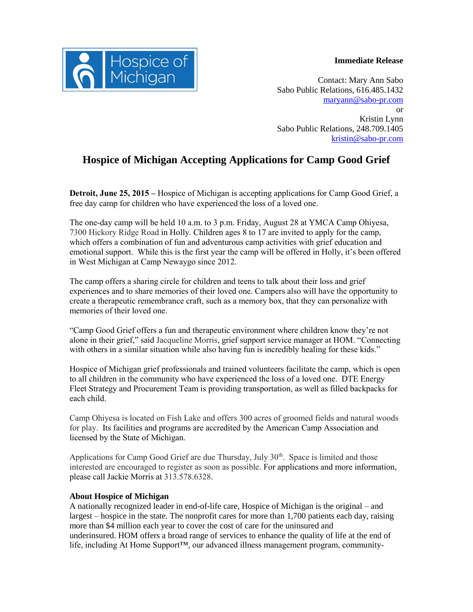## **Immediate Release**



Contact: Mary Ann Sabo Sabo Public Relations, 616.485.1432 [maryann@sabo-pr.com](mailto:maryann@sabo-pr.com) or Kristin Lynn Sabo Public Relations, 248.709.1405 [kristin@sabo-pr.com](mailto:kristin@sabo-pr.com)

## **Hospice of Michigan Accepting Applications for Camp Good Grief**

**Detroit, June 25, 2015 –** Hospice of Michigan is accepting applications for Camp Good Grief, a free day camp for children who have experienced the loss of a loved one.

The one-day camp will be held 10 a.m. to 3 p.m. Friday, August 28 at YMCA Camp Ohiyesa, 7300 Hickory Ridge Road in Holly. Children ages 8 to 17 are invited to apply for the camp, which offers a combination of fun and adventurous camp activities with grief education and emotional support. While this is the first year the camp will be offered in Holly, it's been offered in West Michigan at Camp Newaygo since 2012.

The camp offers a sharing circle for children and teens to talk about their loss and grief experiences and to share memories of their loved one. Campers also will have the opportunity to create a therapeutic remembrance craft, such as a memory box, that they can personalize with memories of their loved one.

"Camp Good Grief offers a fun and therapeutic environment where children know they're not alone in their grief," said Jacqueline Morris, grief support service manager at HOM. "Connecting with others in a similar situation while also having fun is incredibly healing for these kids."

Hospice of Michigan grief professionals and trained volunteers facilitate the camp, which is open to all children in the community who have experienced the loss of a loved one. DTE Energy Fleet Strategy and Procurement Team is providing transportation, as well as filled backpacks for each child.

Camp Ohiyesa is located on Fish Lake and offers 300 acres of groomed fields and natural woods for play. Its facilities and programs are accredited by the American Camp Association and licensed by the State of Michigan.

Applications for Camp Good Grief are due Thursday, July 30<sup>th</sup>. Space is limited and those interested are encouraged to register as soon as possible. For applications and more information, please call Jackie Morris at 313.578.6328.

## **About Hospice of Michigan**

A nationally recognized leader in end-of-life care, Hospice of Michigan is the original – and largest – hospice in the state. The nonprofit cares for more than 1,700 patients each day, raising more than \$4 million each year to cover the cost of care for the uninsured and underinsured. HOM offers a broad range of services to enhance the quality of life at the end of life, including At Home Support™, our advanced illness management program, community-